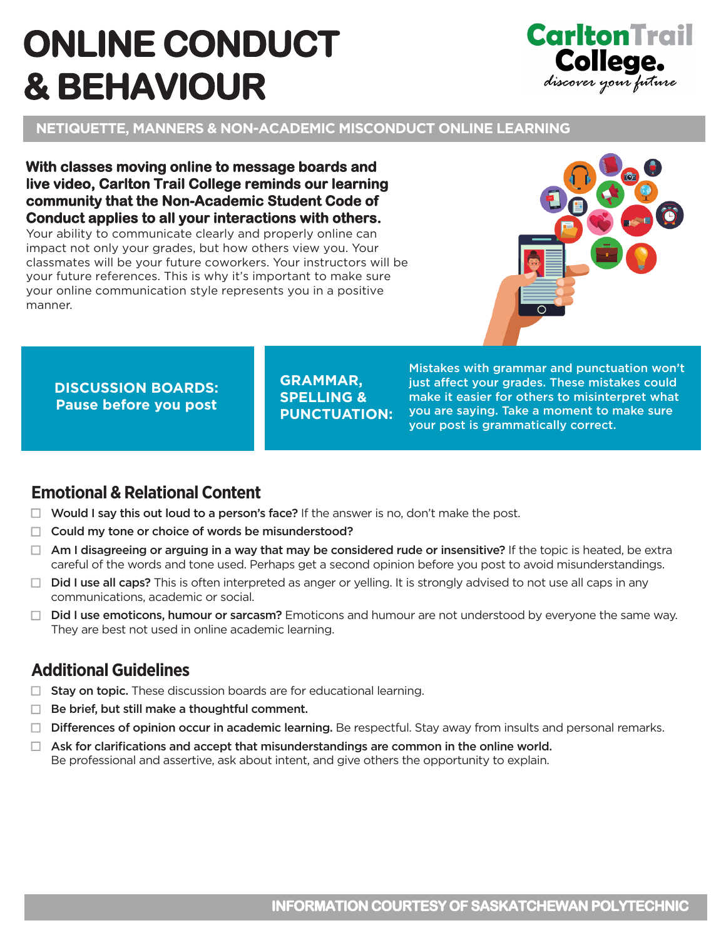# **ONLINE CONDUCT & BEHAVIOUR**



**NETIQUETTE, MANNERS & NON-ACADEMIC MISCONDUCT ONLINE LEARNING** 

**With classes moving online to message boards and live video, Carlton Trail College reminds our learning community that the Non-Academic Student Code of Conduct applies to all your interactions with others.** 

Your ability to communicate clearly and properly online can impact not only your grades, but how others view you. Your classmates will be your future coworkers. Your instructors will be your future references. This is why it's important to make sure your online communication style represents you in a positive manner.



**DISCUSSION BOARDS: Pause before you post** 

**GRAMMAR, SPELLING & PUNCTUATION:** 

Mistakes with grammar and punctuation won't just affect your grades. These mistakes could make it easier for others to misinterpret what you are saying. Take a moment to make sure your post is grammatically correct.

#### **Emotional & Relational Content**

- $\Box$  Would I say this out loud to a person's face? If the answer is no, don't make the post.
- $\Box$  Could my tone or choice of words be misunderstood?
- $\Box$  Am I disagreeing or arguing in a way that may be considered rude or insensitive? If the topic is heated, be extra careful of the words and tone used. Perhaps get a second opinion before you post to avoid misunderstandings.
- $\Box$  Did I use all caps? This is often interpreted as anger or yelling. It is strongly advised to not use all caps in any communications, academic or social.
- $\Box$  Did I use emoticons, humour or sarcasm? Emoticons and humour are not understood by everyone the same way. They are best not used in online academic learning.

### **Additional Guidelines**

- $\Box$  Stay on topic. These discussion boards are for educational learning.
- $\Box$  Be brief, but still make a thoughtful comment.
- $\Box$  Differences of opinion occur in academic learning. Be respectful. Stay away from insults and personal remarks.
- $\Box$  Ask for clarifications and accept that misunderstandings are common in the online world. Be professional and assertive, ask about intent, and give others the opportunity to explain.